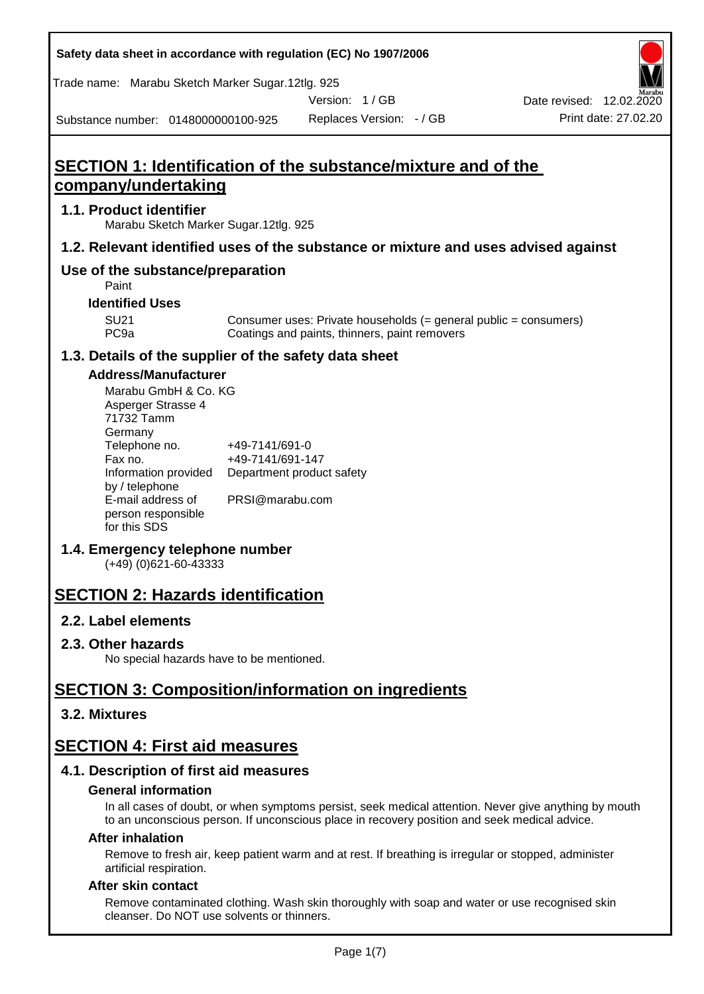| Safety data sheet in accordance with regulation (EC) No 1907/2006 |  |  |
|-------------------------------------------------------------------|--|--|
|-------------------------------------------------------------------|--|--|

Trade name: Marabu Sketch Marker Sugar.12tlg. 925

Version: 1 / GB

Date revised: 12.02.2020

Substance number: 0148000000100-925

Replaces Version:  $-$  / GB Print date: 27.02.20

## **SECTION 1: Identification of the substance/mixture and of the company/undertaking**

#### **1.1. Product identifier**

Marabu Sketch Marker Sugar.12tlg. 925

#### **1.2. Relevant identified uses of the substance or mixture and uses advised against**

#### **Use of the substance/preparation**

Paint

#### **Identified Uses**

SU21 Consumer uses: Private households (= general public = consumers)<br>PC9a Coatings and paints, thinners, paint removers Coatings and paints, thinners, paint removers

#### **1.3. Details of the supplier of the safety data sheet**

#### **Address/Manufacturer**

| Marabu GmbH & Co. KG |                           |
|----------------------|---------------------------|
| Asperger Strasse 4   |                           |
| 71732 Tamm           |                           |
| Germany              |                           |
| Telephone no.        | +49-7141/691-0            |
| Fax no.              | +49-7141/691-147          |
| Information provided | Department product safety |
| by / telephone       |                           |
| E-mail address of    | PRSI@marabu.com           |
| person responsible   |                           |
| for this SDS         |                           |

#### **1.4. Emergency telephone number**

(+49) (0)621-60-43333

## **SECTION 2: Hazards identification**

#### **2.2. Label elements**

#### **2.3. Other hazards**

No special hazards have to be mentioned.

## **SECTION 3: Composition/information on ingredients**

#### **3.2. Mixtures**

## **SECTION 4: First aid measures**

#### **4.1. Description of first aid measures**

#### **General information**

In all cases of doubt, or when symptoms persist, seek medical attention. Never give anything by mouth to an unconscious person. If unconscious place in recovery position and seek medical advice.

#### **After inhalation**

Remove to fresh air, keep patient warm and at rest. If breathing is irregular or stopped, administer artificial respiration.

#### **After skin contact**

Remove contaminated clothing. Wash skin thoroughly with soap and water or use recognised skin cleanser. Do NOT use solvents or thinners.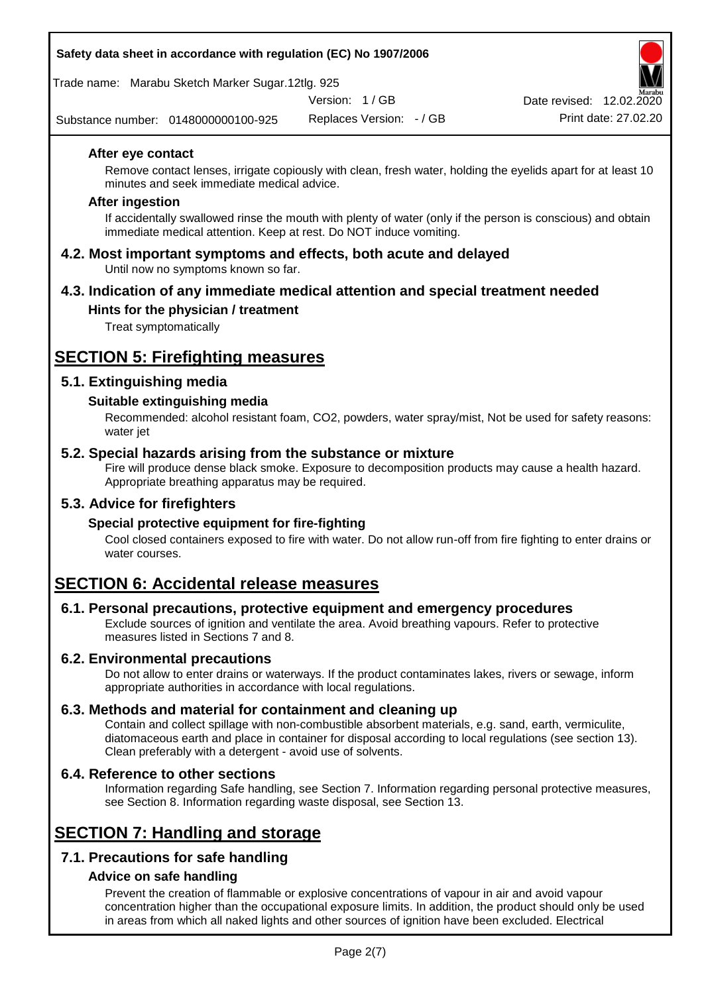#### **Safety data sheet in accordance with regulation (EC) No 1907/2006**

Trade name: Marabu Sketch Marker Sugar.12tlg. 925

Version: 1 / GB

Substance number: 0148000000100-925

Replaces Version: - / GB Print date: 27.02.20 Date revised: 12.02.2020

#### **After eye contact**

Remove contact lenses, irrigate copiously with clean, fresh water, holding the eyelids apart for at least 10 minutes and seek immediate medical advice.

#### **After ingestion**

If accidentally swallowed rinse the mouth with plenty of water (only if the person is conscious) and obtain immediate medical attention. Keep at rest. Do NOT induce vomiting.

**4.2. Most important symptoms and effects, both acute and delayed** Until now no symptoms known so far.

#### **4.3. Indication of any immediate medical attention and special treatment needed Hints for the physician / treatment**

Treat symptomatically

## **SECTION 5: Firefighting measures**

#### **5.1. Extinguishing media**

#### **Suitable extinguishing media**

Recommended: alcohol resistant foam, CO2, powders, water spray/mist, Not be used for safety reasons: water jet

#### **5.2. Special hazards arising from the substance or mixture**

Fire will produce dense black smoke. Exposure to decomposition products may cause a health hazard. Appropriate breathing apparatus may be required.

#### **5.3. Advice for firefighters**

#### **Special protective equipment for fire-fighting**

Cool closed containers exposed to fire with water. Do not allow run-off from fire fighting to enter drains or water courses.

## **SECTION 6: Accidental release measures**

#### **6.1. Personal precautions, protective equipment and emergency procedures**

Exclude sources of ignition and ventilate the area. Avoid breathing vapours. Refer to protective measures listed in Sections 7 and 8.

#### **6.2. Environmental precautions**

Do not allow to enter drains or waterways. If the product contaminates lakes, rivers or sewage, inform appropriate authorities in accordance with local regulations.

#### **6.3. Methods and material for containment and cleaning up**

Contain and collect spillage with non-combustible absorbent materials, e.g. sand, earth, vermiculite, diatomaceous earth and place in container for disposal according to local regulations (see section 13). Clean preferably with a detergent - avoid use of solvents.

#### **6.4. Reference to other sections**

Information regarding Safe handling, see Section 7. Information regarding personal protective measures, see Section 8. Information regarding waste disposal, see Section 13.

## **SECTION 7: Handling and storage**

### **7.1. Precautions for safe handling**

#### **Advice on safe handling**

Prevent the creation of flammable or explosive concentrations of vapour in air and avoid vapour concentration higher than the occupational exposure limits. In addition, the product should only be used in areas from which all naked lights and other sources of ignition have been excluded. Electrical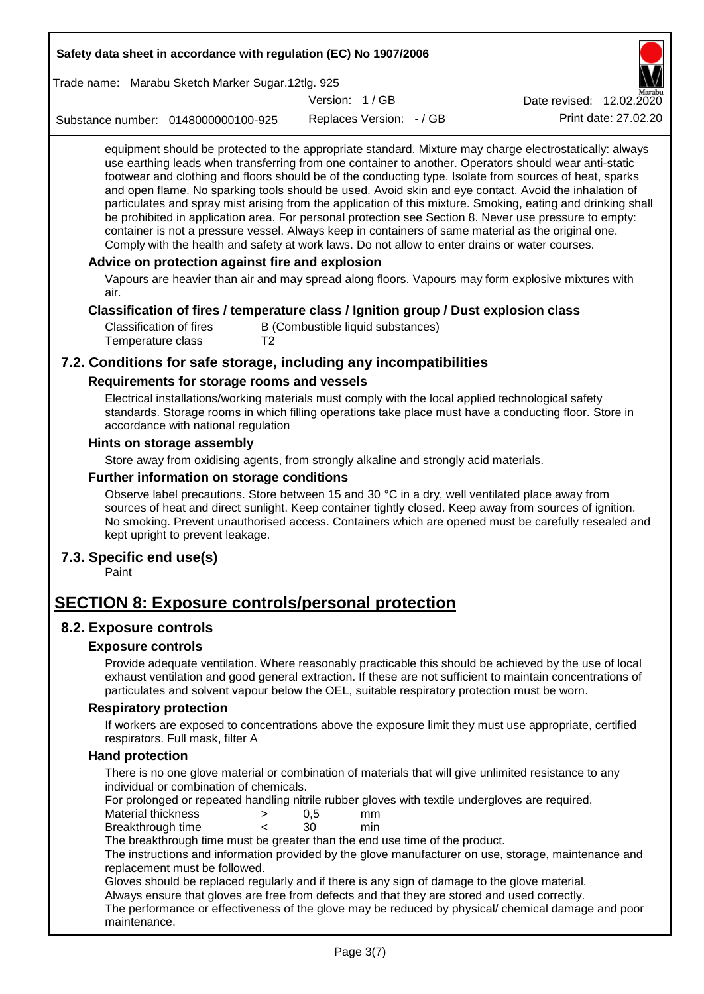| Safety data sheet in accordance with regulation (EC) No 1907/2006 |                                                                                                                                                                                                                                                                                                                                                                                                                                                                                                                                                                                                                                                                                                                                                                                                                                                                                                                                                                                                                                  |                                   |                          |                          |  |
|-------------------------------------------------------------------|----------------------------------------------------------------------------------------------------------------------------------------------------------------------------------------------------------------------------------------------------------------------------------------------------------------------------------------------------------------------------------------------------------------------------------------------------------------------------------------------------------------------------------------------------------------------------------------------------------------------------------------------------------------------------------------------------------------------------------------------------------------------------------------------------------------------------------------------------------------------------------------------------------------------------------------------------------------------------------------------------------------------------------|-----------------------------------|--------------------------|--------------------------|--|
| Trade name: Marabu Sketch Marker Sugar.12tlg. 925                 |                                                                                                                                                                                                                                                                                                                                                                                                                                                                                                                                                                                                                                                                                                                                                                                                                                                                                                                                                                                                                                  |                                   |                          |                          |  |
|                                                                   |                                                                                                                                                                                                                                                                                                                                                                                                                                                                                                                                                                                                                                                                                                                                                                                                                                                                                                                                                                                                                                  | Version: 1/GB                     |                          | Date revised: 12.02.2020 |  |
| Substance number: 0148000000100-925                               |                                                                                                                                                                                                                                                                                                                                                                                                                                                                                                                                                                                                                                                                                                                                                                                                                                                                                                                                                                                                                                  |                                   | Replaces Version: - / GB | Print date: 27.02.20     |  |
| air.                                                              | equipment should be protected to the appropriate standard. Mixture may charge electrostatically: always<br>use earthing leads when transferring from one container to another. Operators should wear anti-static<br>footwear and clothing and floors should be of the conducting type. Isolate from sources of heat, sparks<br>and open flame. No sparking tools should be used. Avoid skin and eye contact. Avoid the inhalation of<br>particulates and spray mist arising from the application of this mixture. Smoking, eating and drinking shall<br>be prohibited in application area. For personal protection see Section 8. Never use pressure to empty:<br>container is not a pressure vessel. Always keep in containers of same material as the original one.<br>Comply with the health and safety at work laws. Do not allow to enter drains or water courses.<br>Advice on protection against fire and explosion<br>Vapours are heavier than air and may spread along floors. Vapours may form explosive mixtures with |                                   |                          |                          |  |
| <b>Classification of fires</b><br>Temperature class               | Classification of fires / temperature class / Ignition group / Dust explosion class<br>T <sub>2</sub>                                                                                                                                                                                                                                                                                                                                                                                                                                                                                                                                                                                                                                                                                                                                                                                                                                                                                                                            | B (Combustible liquid substances) |                          |                          |  |
| 7.2. Conditions for safe storage, including any incompatibilities |                                                                                                                                                                                                                                                                                                                                                                                                                                                                                                                                                                                                                                                                                                                                                                                                                                                                                                                                                                                                                                  |                                   |                          |                          |  |
|                                                                   | Requirements for storage rooms and vessels                                                                                                                                                                                                                                                                                                                                                                                                                                                                                                                                                                                                                                                                                                                                                                                                                                                                                                                                                                                       |                                   |                          |                          |  |
|                                                                   | Electrical installations/working materials must comply with the local applied technological safety<br>standards. Storage rooms in which filling operations take place must have a conducting floor. Store in<br>accordance with national regulation                                                                                                                                                                                                                                                                                                                                                                                                                                                                                                                                                                                                                                                                                                                                                                              |                                   |                          |                          |  |
| Hints on storage assembly                                         |                                                                                                                                                                                                                                                                                                                                                                                                                                                                                                                                                                                                                                                                                                                                                                                                                                                                                                                                                                                                                                  |                                   |                          |                          |  |
|                                                                   | Store away from oxidising agents, from strongly alkaline and strongly acid materials.                                                                                                                                                                                                                                                                                                                                                                                                                                                                                                                                                                                                                                                                                                                                                                                                                                                                                                                                            |                                   |                          |                          |  |
|                                                                   | Further information on storage conditions                                                                                                                                                                                                                                                                                                                                                                                                                                                                                                                                                                                                                                                                                                                                                                                                                                                                                                                                                                                        |                                   |                          |                          |  |
|                                                                   | Observe label precautions. Store between 15 and 30 °C in a dry, well ventilated place away from<br>sources of heat and direct sunlight. Keep container tightly closed. Keep away from sources of ignition.<br>No smoking. Prevent unauthorised access. Containers which are opened must be carefully resealed and<br>kept upright to prevent leakage.                                                                                                                                                                                                                                                                                                                                                                                                                                                                                                                                                                                                                                                                            |                                   |                          |                          |  |
| 7.3. Specific end use(s)<br>Paint                                 |                                                                                                                                                                                                                                                                                                                                                                                                                                                                                                                                                                                                                                                                                                                                                                                                                                                                                                                                                                                                                                  |                                   |                          |                          |  |
| <b>SECTION 8: Exposure controls/personal protection</b>           |                                                                                                                                                                                                                                                                                                                                                                                                                                                                                                                                                                                                                                                                                                                                                                                                                                                                                                                                                                                                                                  |                                   |                          |                          |  |
| 8.2. Exposure controls                                            |                                                                                                                                                                                                                                                                                                                                                                                                                                                                                                                                                                                                                                                                                                                                                                                                                                                                                                                                                                                                                                  |                                   |                          |                          |  |
| <b>Exposure controls</b>                                          |                                                                                                                                                                                                                                                                                                                                                                                                                                                                                                                                                                                                                                                                                                                                                                                                                                                                                                                                                                                                                                  |                                   |                          |                          |  |
|                                                                   | Provide adequate ventilation. Where reasonably practicable this should be achieved by the use of local<br>exhaust ventilation and good general extraction. If these are not sufficient to maintain concentrations of<br>particulates and solvent vapour below the OEL, suitable respiratory protection must be worn.                                                                                                                                                                                                                                                                                                                                                                                                                                                                                                                                                                                                                                                                                                             |                                   |                          |                          |  |
| <b>Respiratory protection</b>                                     |                                                                                                                                                                                                                                                                                                                                                                                                                                                                                                                                                                                                                                                                                                                                                                                                                                                                                                                                                                                                                                  |                                   |                          |                          |  |
|                                                                   | If workers are exposed to concentrations above the exposure limit they must use appropriate, certified<br>respirators. Full mask, filter A                                                                                                                                                                                                                                                                                                                                                                                                                                                                                                                                                                                                                                                                                                                                                                                                                                                                                       |                                   |                          |                          |  |
| <b>Hand protection</b>                                            |                                                                                                                                                                                                                                                                                                                                                                                                                                                                                                                                                                                                                                                                                                                                                                                                                                                                                                                                                                                                                                  |                                   |                          |                          |  |
|                                                                   | There is no one glove material or combination of materials that will give unlimited resistance to any                                                                                                                                                                                                                                                                                                                                                                                                                                                                                                                                                                                                                                                                                                                                                                                                                                                                                                                            |                                   |                          |                          |  |
| <b>Material thickness</b>                                         | individual or combination of chemicals.<br>For prolonged or repeated handling nitrile rubber gloves with textile undergloves are required.<br>>                                                                                                                                                                                                                                                                                                                                                                                                                                                                                                                                                                                                                                                                                                                                                                                                                                                                                  | 0,5                               | mm                       |                          |  |
| Breakthrough time                                                 | ≺                                                                                                                                                                                                                                                                                                                                                                                                                                                                                                                                                                                                                                                                                                                                                                                                                                                                                                                                                                                                                                | 30                                | min                      |                          |  |
|                                                                   | The breakthrough time must be greater than the end use time of the product.<br>The instructions and information provided by the glove manufacturer on use, storage, maintenance and                                                                                                                                                                                                                                                                                                                                                                                                                                                                                                                                                                                                                                                                                                                                                                                                                                              |                                   |                          |                          |  |
| maintenance.                                                      | replacement must be followed.<br>Gloves should be replaced regularly and if there is any sign of damage to the glove material.<br>Always ensure that gloves are free from defects and that they are stored and used correctly.<br>The performance or effectiveness of the glove may be reduced by physical/ chemical damage and poor                                                                                                                                                                                                                                                                                                                                                                                                                                                                                                                                                                                                                                                                                             |                                   |                          |                          |  |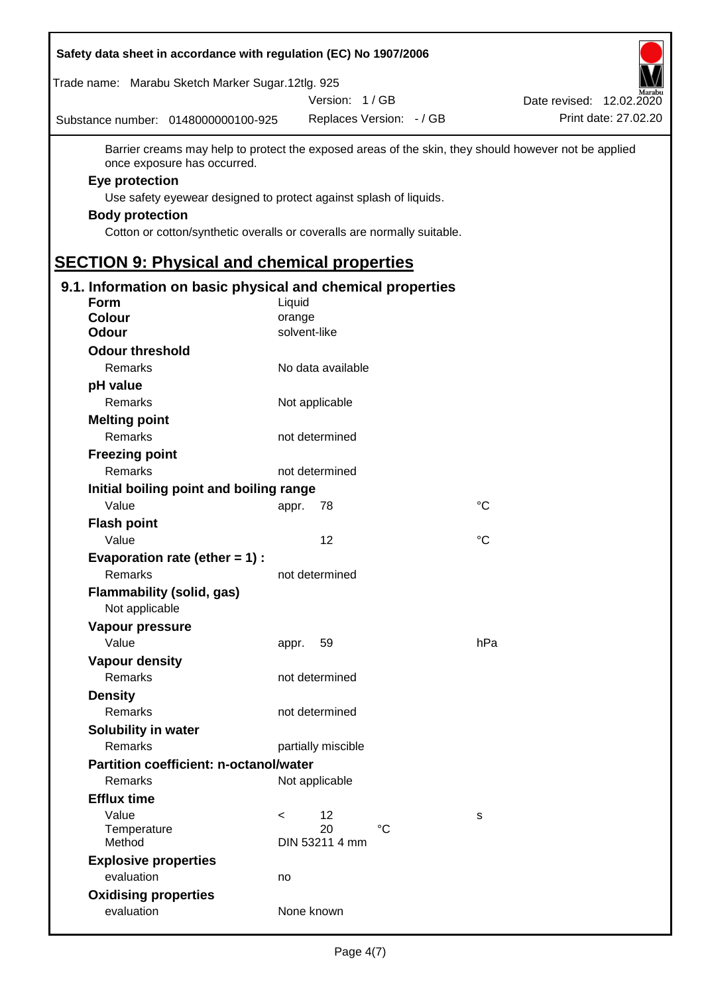| Safety data sheet in accordance with regulation (EC) No 1907/2006 |                                                                                                      |                          |
|-------------------------------------------------------------------|------------------------------------------------------------------------------------------------------|--------------------------|
| Trade name: Marabu Sketch Marker Sugar.12tlg. 925                 |                                                                                                      |                          |
|                                                                   | Version: 1/GB                                                                                        | Date revised: 12.02.2020 |
| Substance number: 0148000000100-925                               | Replaces Version: - / GB                                                                             | Print date: 27.02.20     |
| once exposure has occurred.                                       | Barrier creams may help to protect the exposed areas of the skin, they should however not be applied |                          |
| Eye protection                                                    |                                                                                                      |                          |
|                                                                   | Use safety eyewear designed to protect against splash of liquids.                                    |                          |
| <b>Body protection</b>                                            |                                                                                                      |                          |
|                                                                   | Cotton or cotton/synthetic overalls or coveralls are normally suitable.                              |                          |
| <b>SECTION 9: Physical and chemical properties</b>                |                                                                                                      |                          |
| 9.1. Information on basic physical and chemical properties        |                                                                                                      |                          |
| <b>Form</b>                                                       | Liquid                                                                                               |                          |
| <b>Colour</b>                                                     | orange                                                                                               |                          |
| <b>Odour</b>                                                      | solvent-like                                                                                         |                          |
| <b>Odour threshold</b>                                            |                                                                                                      |                          |
| Remarks                                                           | No data available                                                                                    |                          |
| pH value                                                          |                                                                                                      |                          |
| Remarks                                                           | Not applicable                                                                                       |                          |
| <b>Melting point</b>                                              |                                                                                                      |                          |
| Remarks                                                           | not determined                                                                                       |                          |
| <b>Freezing point</b>                                             |                                                                                                      |                          |
| Remarks                                                           | not determined                                                                                       |                          |
| Initial boiling point and boiling range                           |                                                                                                      |                          |
| Value                                                             | 78<br>appr.                                                                                          | °C                       |
| <b>Flash point</b>                                                |                                                                                                      |                          |
| Value                                                             | 12                                                                                                   | °C                       |
| Evaporation rate (ether $= 1$ ) :                                 |                                                                                                      |                          |
| Remarks                                                           | not determined                                                                                       |                          |
| <b>Flammability (solid, gas)</b><br>Not applicable                |                                                                                                      |                          |
| Vapour pressure                                                   |                                                                                                      |                          |
| Value                                                             | 59<br>appr.                                                                                          | hPa                      |
| <b>Vapour density</b>                                             |                                                                                                      |                          |
| Remarks                                                           | not determined                                                                                       |                          |
| <b>Density</b>                                                    |                                                                                                      |                          |
| Remarks                                                           | not determined                                                                                       |                          |
| Solubility in water                                               |                                                                                                      |                          |
| Remarks                                                           | partially miscible                                                                                   |                          |
| <b>Partition coefficient: n-octanol/water</b>                     |                                                                                                      |                          |
| Remarks                                                           | Not applicable                                                                                       |                          |
| <b>Efflux time</b>                                                |                                                                                                      |                          |
| Value                                                             | 12<br>$\,<\,$                                                                                        | s                        |
| Temperature<br>Method                                             | 20<br>$^{\circ}C$<br>DIN 53211 4 mm                                                                  |                          |
|                                                                   |                                                                                                      |                          |
| <b>Explosive properties</b><br>evaluation                         |                                                                                                      |                          |
|                                                                   | no                                                                                                   |                          |
| <b>Oxidising properties</b><br>evaluation                         | None known                                                                                           |                          |
|                                                                   |                                                                                                      |                          |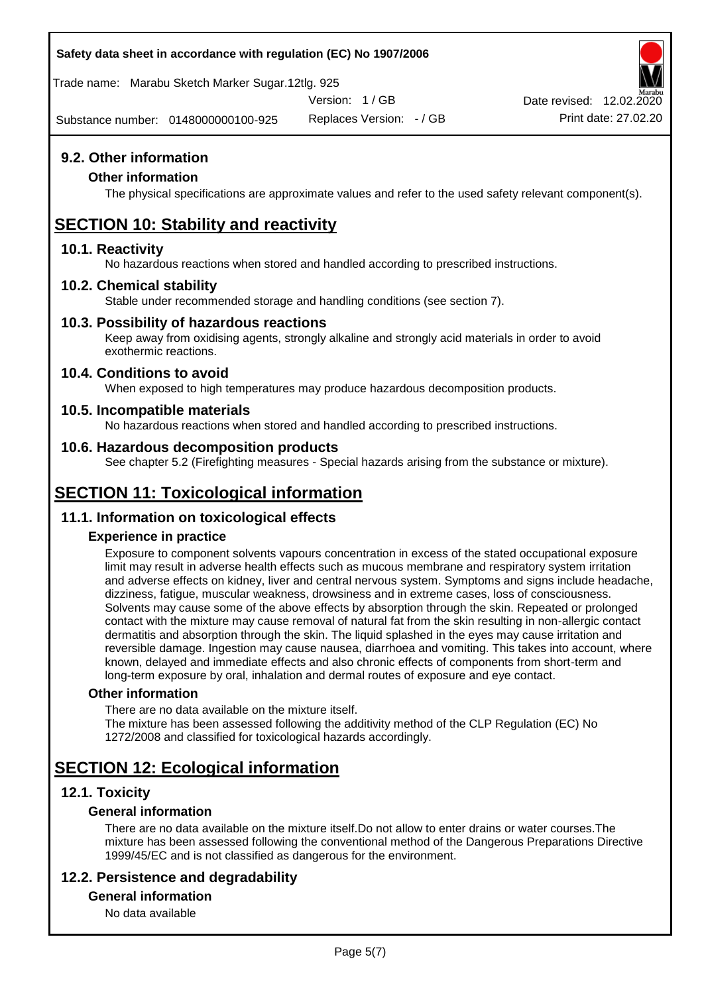#### **Safety data sheet in accordance with regulation (EC) No 1907/2006**

Trade name: Marabu Sketch Marker Sugar.12tlg. 925

Version: 1 / GB

Substance number: 0148000000100-925

Replaces Version: - / GB Print date: 27.02.20 Date revised: 12.02.2020

**9.2. Other information**

#### **Other information**

The physical specifications are approximate values and refer to the used safety relevant component(s).

## **SECTION 10: Stability and reactivity**

#### **10.1. Reactivity**

No hazardous reactions when stored and handled according to prescribed instructions.

#### **10.2. Chemical stability**

Stable under recommended storage and handling conditions (see section 7).

#### **10.3. Possibility of hazardous reactions**

Keep away from oxidising agents, strongly alkaline and strongly acid materials in order to avoid exothermic reactions.

#### **10.4. Conditions to avoid**

When exposed to high temperatures may produce hazardous decomposition products.

#### **10.5. Incompatible materials**

No hazardous reactions when stored and handled according to prescribed instructions.

#### **10.6. Hazardous decomposition products**

See chapter 5.2 (Firefighting measures - Special hazards arising from the substance or mixture).

## **SECTION 11: Toxicological information**

#### **11.1. Information on toxicological effects**

#### **Experience in practice**

Exposure to component solvents vapours concentration in excess of the stated occupational exposure limit may result in adverse health effects such as mucous membrane and respiratory system irritation and adverse effects on kidney, liver and central nervous system. Symptoms and signs include headache, dizziness, fatigue, muscular weakness, drowsiness and in extreme cases, loss of consciousness. Solvents may cause some of the above effects by absorption through the skin. Repeated or prolonged contact with the mixture may cause removal of natural fat from the skin resulting in non-allergic contact dermatitis and absorption through the skin. The liquid splashed in the eyes may cause irritation and reversible damage. Ingestion may cause nausea, diarrhoea and vomiting. This takes into account, where known, delayed and immediate effects and also chronic effects of components from short-term and long-term exposure by oral, inhalation and dermal routes of exposure and eye contact.

#### **Other information**

There are no data available on the mixture itself. The mixture has been assessed following the additivity method of the CLP Regulation (EC) No 1272/2008 and classified for toxicological hazards accordingly.

## **SECTION 12: Ecological information**

#### **12.1. Toxicity**

#### **General information**

There are no data available on the mixture itself.Do not allow to enter drains or water courses.The mixture has been assessed following the conventional method of the Dangerous Preparations Directive 1999/45/EC and is not classified as dangerous for the environment.

#### **12.2. Persistence and degradability**

#### **General information**

No data available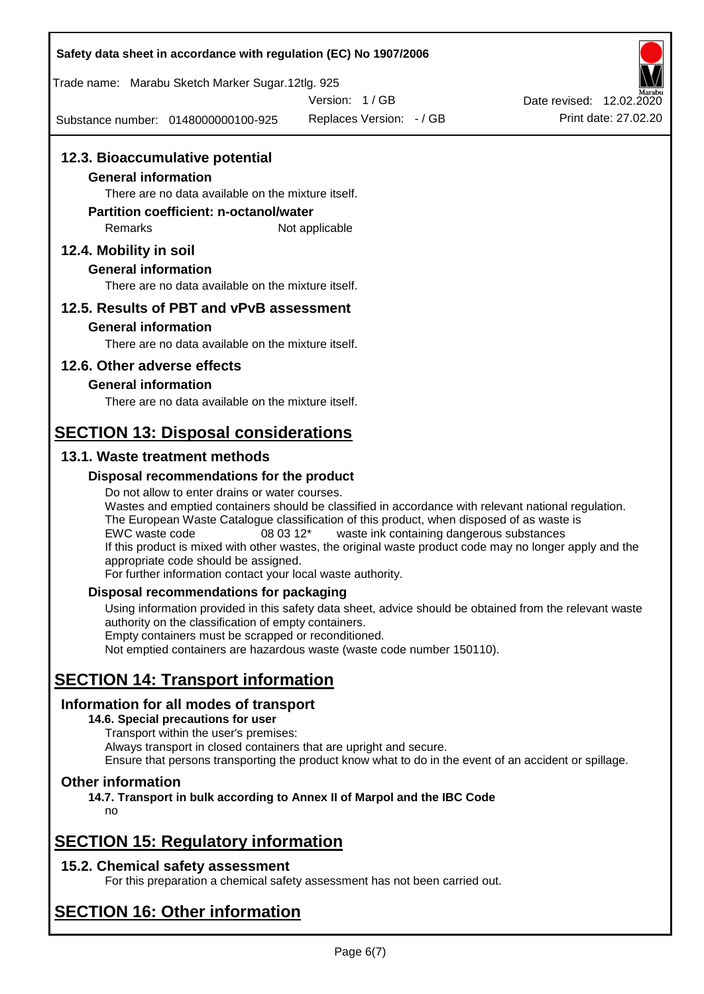| Safety data sheet in accordance with regulation (EC) No 1907/2006                                                                                                                           |                                                                                                                                                                                                                                                                                                                                                          |                          |
|---------------------------------------------------------------------------------------------------------------------------------------------------------------------------------------------|----------------------------------------------------------------------------------------------------------------------------------------------------------------------------------------------------------------------------------------------------------------------------------------------------------------------------------------------------------|--------------------------|
| Trade name: Marabu Sketch Marker Sugar.12tlg. 925                                                                                                                                           |                                                                                                                                                                                                                                                                                                                                                          |                          |
|                                                                                                                                                                                             | Version: 1/GB                                                                                                                                                                                                                                                                                                                                            | Date revised: 12.02.2020 |
| Substance number: 0148000000100-925                                                                                                                                                         | Replaces Version: - / GB                                                                                                                                                                                                                                                                                                                                 | Print date: 27.02.20     |
| 12.3. Bioaccumulative potential<br><b>General information</b><br>There are no data available on the mixture itself.<br><b>Partition coefficient: n-octanol/water</b><br>Remarks             | Not applicable                                                                                                                                                                                                                                                                                                                                           |                          |
| 12.4. Mobility in soil                                                                                                                                                                      |                                                                                                                                                                                                                                                                                                                                                          |                          |
| <b>General information</b><br>There are no data available on the mixture itself.                                                                                                            |                                                                                                                                                                                                                                                                                                                                                          |                          |
| 12.5. Results of PBT and vPvB assessment                                                                                                                                                    |                                                                                                                                                                                                                                                                                                                                                          |                          |
| <b>General information</b>                                                                                                                                                                  |                                                                                                                                                                                                                                                                                                                                                          |                          |
| There are no data available on the mixture itself.                                                                                                                                          |                                                                                                                                                                                                                                                                                                                                                          |                          |
| 12.6. Other adverse effects                                                                                                                                                                 |                                                                                                                                                                                                                                                                                                                                                          |                          |
| <b>General information</b>                                                                                                                                                                  |                                                                                                                                                                                                                                                                                                                                                          |                          |
| There are no data available on the mixture itself.                                                                                                                                          |                                                                                                                                                                                                                                                                                                                                                          |                          |
| <b>SECTION 13: Disposal considerations</b>                                                                                                                                                  |                                                                                                                                                                                                                                                                                                                                                          |                          |
| 13.1. Waste treatment methods                                                                                                                                                               |                                                                                                                                                                                                                                                                                                                                                          |                          |
| Disposal recommendations for the product                                                                                                                                                    |                                                                                                                                                                                                                                                                                                                                                          |                          |
| Do not allow to enter drains or water courses.<br>EWC waste code<br>08 03 12*<br>appropriate code should be assigned.<br>For further information contact your local waste authority.        | Wastes and emptied containers should be classified in accordance with relevant national regulation.<br>The European Waste Catalogue classification of this product, when disposed of as waste is<br>waste ink containing dangerous substances<br>If this product is mixed with other wastes, the original waste product code may no longer apply and the |                          |
| Disposal recommendations for packaging                                                                                                                                                      |                                                                                                                                                                                                                                                                                                                                                          |                          |
| authority on the classification of empty containers.<br>Empty containers must be scrapped or reconditioned.                                                                                 | Using information provided in this safety data sheet, advice should be obtained from the relevant waste<br>Not emptied containers are hazardous waste (waste code number 150110).                                                                                                                                                                        |                          |
| <b>SECTION 14: Transport information</b>                                                                                                                                                    |                                                                                                                                                                                                                                                                                                                                                          |                          |
| Information for all modes of transport<br>14.6. Special precautions for user<br>Transport within the user's premises:<br>Always transport in closed containers that are upright and secure. | Ensure that persons transporting the product know what to do in the event of an accident or spillage.                                                                                                                                                                                                                                                    |                          |
| <b>Other information</b><br>14.7. Transport in bulk according to Annex II of Marpol and the IBC Code<br>no                                                                                  |                                                                                                                                                                                                                                                                                                                                                          |                          |
| <b>SECTION 15: Regulatory information</b>                                                                                                                                                   |                                                                                                                                                                                                                                                                                                                                                          |                          |
| 15.2. Chemical safety assessment                                                                                                                                                            |                                                                                                                                                                                                                                                                                                                                                          |                          |

For this preparation a chemical safety assessment has not been carried out.

# **SECTION 16: Other information**